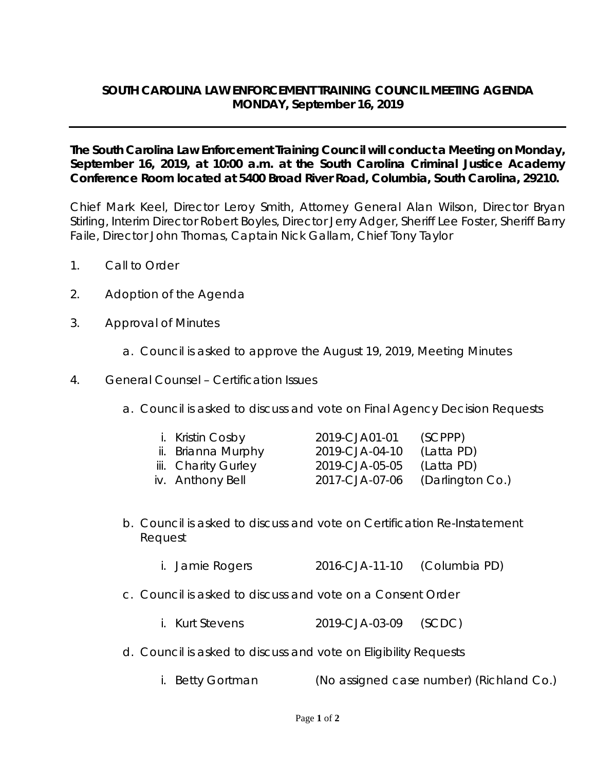## **SOUTH CAROLINA LAW ENFORCEMENT TRAINING COUNCIL MEETING AGENDA MONDAY, September 16, 2019**

**The South Carolina Law Enforcement Training Council will conduct a Meeting on Monday, September 16, 2019, at 10:00 a.m. at the South Carolina Criminal Justice Academy Conference Room located at 5400 Broad River Road, Columbia, South Carolina, 29210.** 

Chief Mark Keel, Director Leroy Smith, Attorney General Alan Wilson, Director Bryan Stirling, Interim Director Robert Boyles, Director Jerry Adger, Sheriff Lee Foster, Sheriff Barry Faile, Director John Thomas, Captain Nick Gallam, Chief Tony Taylor

- 1. Call to Order
- 2. Adoption of the Agenda
- 3. Approval of Minutes
	- a. Council is asked to approve the August 19, 2019, Meeting Minutes
- 4. General Counsel Certification Issues
	- a. Council is asked to discuss and vote on Final Agency Decision Requests

| i. Kristin Cosby    | 2019-CJA01-01  | (SCPPP)          |
|---------------------|----------------|------------------|
| ii. Brianna Murphy  | 2019-CJA-04-10 | (Latta PD)       |
| iii. Charity Gurley | 2019-CJA-05-05 | (Latta PD)       |
| iv. Anthony Bell    | 2017-CJA-07-06 | (Darlington Co.) |

- b. Council is asked to discuss and vote on Certification Re-Instatement Request
	- i. Jamie Rogers 2016-CJA-11-10 (Columbia PD)
- c. Council is asked to discuss and vote on a Consent Order
	- i. Kurt Stevens 2019-CJA-03-09 (SCDC)
- d. Council is asked to discuss and vote on Eligibility Requests
	- i. Betty Gortman (No assigned case number) (Richland Co.)